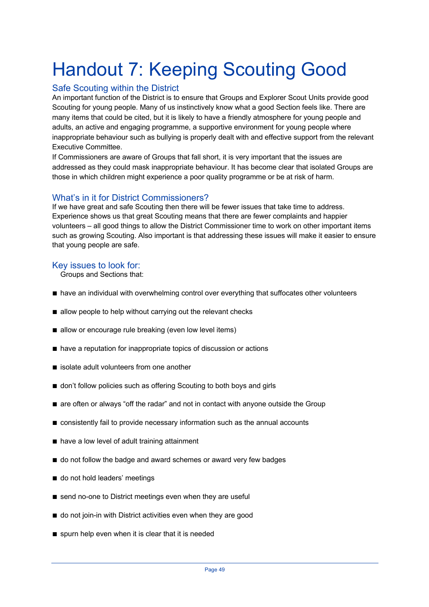# Handout 7: Keeping Scouting Good

## Safe Scouting within the District

An important function of the District is to ensure that Groups and Explorer Scout Units provide good Scouting for young people. Many of us instinctively know what a good Section feels like. There are many items that could be cited, but it is likely to have a friendly atmosphere for young people and adults, an active and engaging programme, a supportive environment for young people where inappropriate behaviour such as bullying is properly dealt with and effective support from the relevant Executive Committee.

If Commissioners are aware of Groups that fall short, it is very important that the issues are addressed as they could mask inappropriate behaviour. It has become clear that isolated Groups are those in which children might experience a poor quality programme or be at risk of harm.

## What's in it for District Commissioners?

If we have great and safe Scouting then there will be fewer issues that take time to address. Experience shows us that great Scouting means that there are fewer complaints and happier volunteers – all good things to allow the District Commissioner time to work on other important items such as growing Scouting. Also important is that addressing these issues will make it easier to ensure that young people are safe.

#### Key issues to look for:

Groups and Sections that:

- have an individual with overwhelming control over everything that suffocates other volunteers
- allow people to help without carrying out the relevant checks
- allow or encourage rule breaking (even low level items)
- have a reputation for inappropriate topics of discussion or actions
- isolate adult volunteers from one another
- don't follow policies such as offering Scouting to both boys and girls
- are often or always "off the radar" and not in contact with anyone outside the Group
- consistently fail to provide necessary information such as the annual accounts
- have a low level of adult training attainment
- do not follow the badge and award schemes or award very few badges
- do not hold leaders' meetings
- send no-one to District meetings even when they are useful
- do not join-in with District activities even when they are good
- spurn help even when it is clear that it is needed